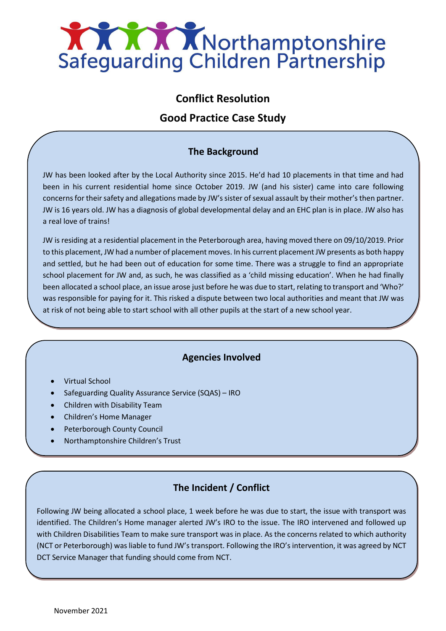

# **Conflict Resolution**

## **Good Practice Case Study**

### **The Background**

JW has been looked after by the Local Authority since 2015. He'd had 10 placements in that time and had been in his current residential home since October 2019. JW (and his sister) came into care following concerns for their safety and allegations made by JW's sister of sexual assault by their mother's then partner. JW is 16 years old. JW has a diagnosis of global developmental delay and an EHC plan is in place. JW also has a real love of trains!

JW is residing at a residential placement in the Peterborough area, having moved there on 09/10/2019. Prior to this placement, JW had a number of placement moves. In his current placement JW presents as both happy and settled, but he had been out of education for some time. There was a struggle to find an appropriate school placement for JW and, as such, he was classified as a 'child missing education'. When he had finally been allocated a school place, an issue arose just before he was due to start, relating to transport and 'Who?' was responsible for paying for it. This risked a dispute between two local authorities and meant that JW was at risk of not being able to start school with all other pupils at the start of a new school year.

### **Agencies Involved**

- Virtual School
- Safeguarding Quality Assurance Service (SQAS) IRO
- Children with Disability Team
- Children's Home Manager
- Peterborough County Council
- Northamptonshire Children's Trust

### **The Incident / Conflict**

Following JW being allocated a school place, 1 week before he was due to start, the issue with transport was identified. The Children's Home manager alerted JW's IRO to the issue. The IRO intervened and followed up with Children Disabilities Team to make sure transport was in place. As the concerns related to which authority (NCT or Peterborough) was liable to fund JW's transport. Following the IRO's intervention, it was agreed by NCT DCT Service Manager that funding should come from NCT.